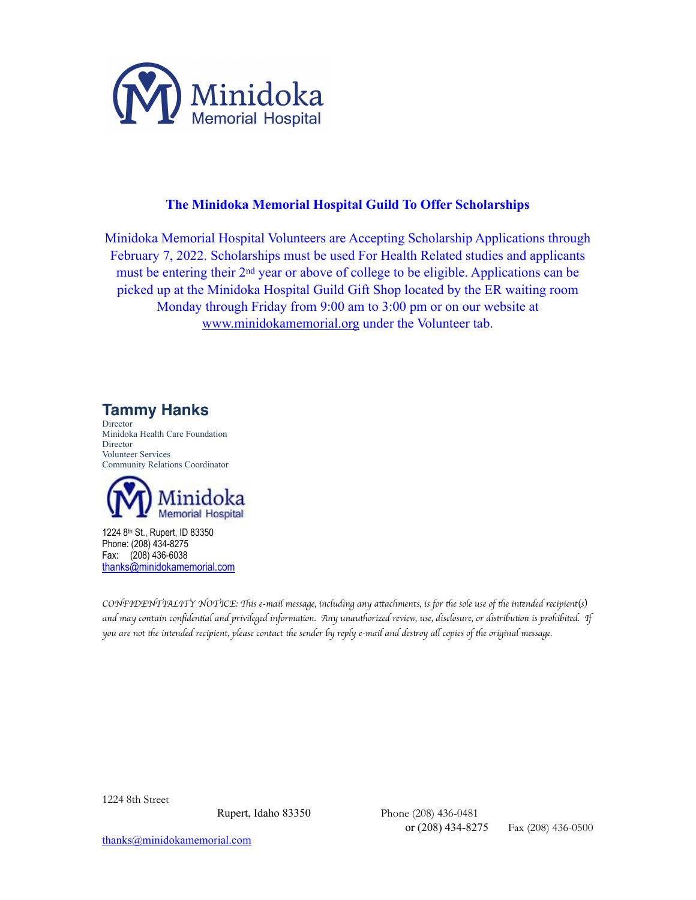

## **The Minidoka Memorial Hospital Guild To Offer Scholarships**

Minidoka Memorial Hospital Volunteers are Accepting Scholarship Applications through February 7, 2022. Scholarships must be used For Health Related studies and applicants must be entering their 2nd year or above of college to be eligible. Applications can be picked up at the Minidoka Hospital Guild Gift Shop located by the ER waiting room Monday through Friday from 9:00 am to 3:00 pm or on our website at [www.minidokamemorial.org](http://www.minidokamemorial.com) under the Volunteer tab.

**Tammy Hanks**

**Director** Minidoka Health Care Foundation **Director** Volunteer Services Community Relations Coordinator



1224 8th St., Rupert, ID 83350 Phone: (208) 434-8275 Fax: (208) 436-6038 [thanks@minidokamemorial.com](mailto:thanks@minidokamemorial.com)

*CONFIDENTIALITY NOTICE:* Th*is e-mail message, including any a*tt*achments, is for* th*e sole use of* th*e in*te*nded recipient*(*s*) *and may contain con*fi*den*ti*al and privileged informa*ti*on. Any unau*th*orized review, use, disclosure, or dis*tr*ibu*ti*on is prohibi*te*d. If you are not* th*e in*te*nded recipient, please contact* th*e sender by reply e-mail and des*tr*oy a*ll *copies of* th*e original message.* 

1224 8th Street

Rupert, Idaho 83350 Phone (208) 436-0481 or (208) 434-8275 Fax (208) 436-0500

[thanks@minidokamemorial.com](mailto:thanks@minidokamemorial.com)